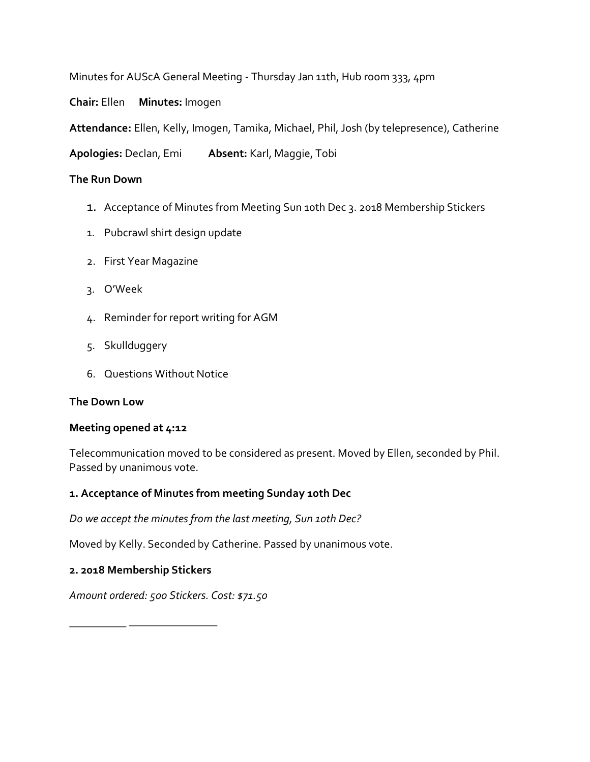Minutes for AUScA General Meeting - Thursday Jan 11th, Hub room 333, 4pm

**Chair:** Ellen **Minutes:** Imogen

**Attendance:** Ellen, Kelly, Imogen, Tamika, Michael, Phil, Josh (by telepresence), Catherine

**Apologies:** Declan, Emi **Absent:** Karl, Maggie, Tobi

## **The Run Down**

- 1. Acceptance of Minutes from Meeting Sun 10th Dec 3. 2018 Membership Stickers
- 1. Pubcrawl shirt design update
- 2. First Year Magazine
- 3. O'Week
- 4. Reminder for report writing for AGM
- 5. Skullduggery
- 6. Questions Without Notice

### **The Down Low**

### **Meeting opened at 4:12**

Telecommunication moved to be considered as present. Moved by Ellen, seconded by Phil. Passed by unanimous vote.

### **1. Acceptance of Minutes from meeting Sunday 10th Dec**

*Do we accept the minutes from the last meeting, Sun 10th Dec?* 

Moved by Kelly. Seconded by Catherine. Passed by unanimous vote.

### **2. 2018 Membership Stickers**

*Amount ordered: 500 Stickers. Cost: \$71.50*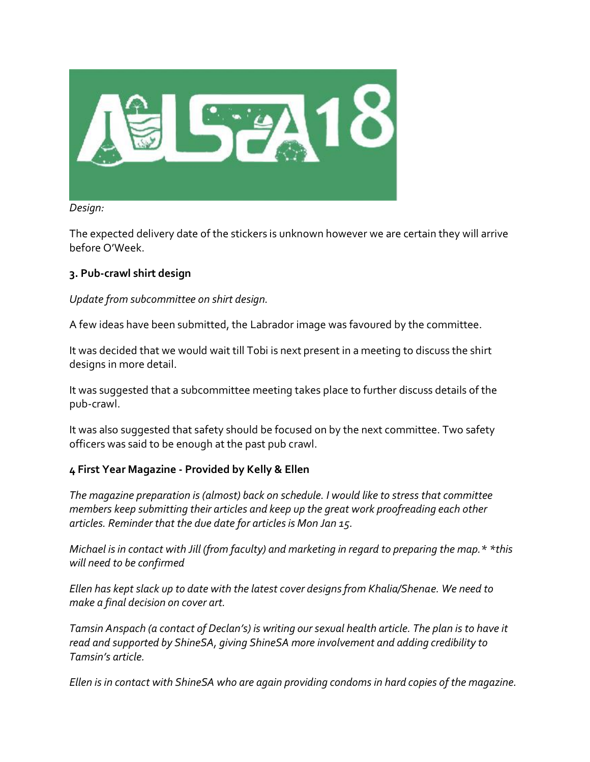

#### *Design:*

The expected delivery date of the stickers is unknown however we are certain they will arrive before O'Week.

# **3. Pub-crawl shirt design**

# *Update from subcommittee on shirt design.*

A few ideas have been submitted, the Labrador image was favoured by the committee.

It was decided that we would wait till Tobi is next present in a meeting to discuss the shirt designs in more detail.

It was suggested that a subcommittee meeting takes place to further discuss details of the pub-crawl.

It was also suggested that safety should be focused on by the next committee. Two safety officers was said to be enough at the past pub crawl.

### **4 First Year Magazine - Provided by Kelly & Ellen**

*The magazine preparation is (almost) back on schedule. I would like to stress that committee members keep submitting their articles and keep up the great work proofreading each other articles. Reminder that the due date for articles is Mon Jan 15.* 

*Michael is in contact with Jill (from faculty) and marketing in regard to preparing the map.\* \*this will need to be confirmed* 

*Ellen has kept slack up to date with the latest cover designs from Khalia/Shenae. We need to make a final decision on cover art.* 

*Tamsin Anspach (a contact of Declan's) is writing our sexual health article. The plan is to have it read and supported by ShineSA, giving ShineSA more involvement and adding credibility to Tamsin's article.* 

*Ellen is in contact with ShineSA who are again providing condoms in hard copies of the magazine.*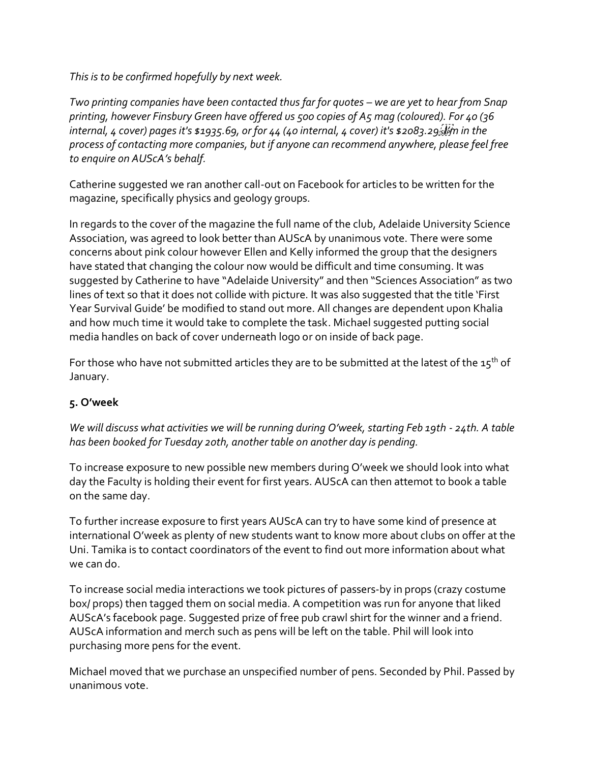*This is to be confirmed hopefully by next week.* 

*Two printing companies have been contacted thus far for quotes – we are yet to hear from Snap printing, however Finsbury Green have offered us 500 copies of A5 mag (coloured). For 40 (36 internal, 4 cover) pages it's \$1935.69, or for 44 (40 internal, 4 cover) it's \$2083.29 of*  $\frac{1}{2}$  *in the process of contacting more companies, but if anyone can recommend anywhere, please feel free to enquire on AUScA's behalf.* 

Catherine suggested we ran another call-out on Facebook for articles to be written for the magazine, specifically physics and geology groups.

In regards to the cover of the magazine the full name of the club, Adelaide University Science Association, was agreed to look better than AUScA by unanimous vote. There were some concerns about pink colour however Ellen and Kelly informed the group that the designers have stated that changing the colour now would be difficult and time consuming. It was suggested by Catherine to have "Adelaide University" and then "Sciences Association" as two lines of text so that it does not collide with picture. It was also suggested that the title 'First Year Survival Guide' be modified to stand out more. All changes are dependent upon Khalia and how much time it would take to complete the task. Michael suggested putting social media handles on back of cover underneath logo or on inside of back page.

For those who have not submitted articles they are to be submitted at the latest of the  $15<sup>th</sup>$  of January.

# **5. O'week**

*We will discuss what activities we will be running during O'week, starting Feb 19th - 24th. A table has been booked for Tuesday 20th, another table on another day is pending.* 

To increase exposure to new possible new members during O'week we should look into what day the Faculty is holding their event for first years. AUScA can then attemot to book a table on the same day.

To further increase exposure to first years AUScA can try to have some kind of presence at international O'week as plenty of new students want to know more about clubs on offer at the Uni. Tamika is to contact coordinators of the event to find out more information about what we can do.

To increase social media interactions we took pictures of passers-by in props (crazy costume box/ props) then tagged them on social media. A competition was run for anyone that liked AUScA's facebook page. Suggested prize of free pub crawl shirt for the winner and a friend. AUScA information and merch such as pens will be left on the table. Phil will look into purchasing more pens for the event.

Michael moved that we purchase an unspecified number of pens. Seconded by Phil. Passed by unanimous vote.